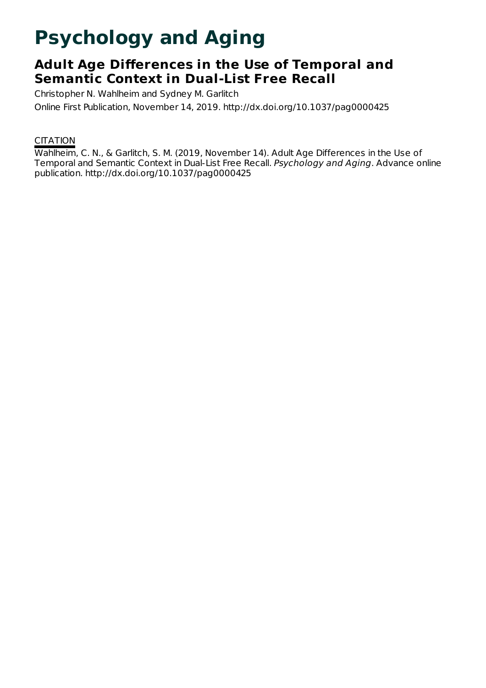# **Psychology and Aging**

## **Adult Age Differences in the Use of Temporal and Semantic Context in Dual-List Free Recall**

Christopher N. Wahlheim and Sydney M. Garlitch Online First Publication, November 14, 2019. http://dx.doi.org/10.1037/pag0000425

### **CITATION**

Wahlheim, C. N., & Garlitch, S. M. (2019, November 14). Adult Age Differences in the Use of Temporal and Semantic Context in Dual-List Free Recall. Psychology and Aging. Advance online publication. http://dx.doi.org/10.1037/pag0000425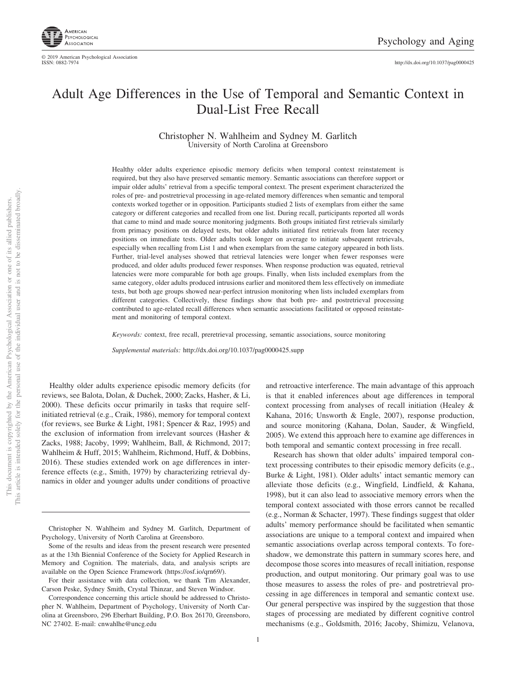

### Adult Age Differences in the Use of Temporal and Semantic Context in Dual-List Free Recall

Christopher N. Wahlheim and Sydney M. Garlitch University of North Carolina at Greensboro

Healthy older adults experience episodic memory deficits when temporal context reinstatement is required, but they also have preserved semantic memory. Semantic associations can therefore support or impair older adults' retrieval from a specific temporal context. The present experiment characterized the roles of pre- and postretrieval processing in age-related memory differences when semantic and temporal contexts worked together or in opposition. Participants studied 2 lists of exemplars from either the same category or different categories and recalled from one list. During recall, participants reported all words that came to mind and made source monitoring judgments. Both groups initiated first retrievals similarly from primacy positions on delayed tests, but older adults initiated first retrievals from later recency positions on immediate tests. Older adults took longer on average to initiate subsequent retrievals, especially when recalling from List 1 and when exemplars from the same category appeared in both lists. Further, trial-level analyses showed that retrieval latencies were longer when fewer responses were produced, and older adults produced fewer responses. When response production was equated, retrieval latencies were more comparable for both age groups. Finally, when lists included exemplars from the same category, older adults produced intrusions earlier and monitored them less effectively on immediate tests, but both age groups showed near-perfect intrusion monitoring when lists included exemplars from different categories. Collectively, these findings show that both pre- and postretrieval processing contributed to age-related recall differences when semantic associations facilitated or opposed reinstatement and monitoring of temporal context.

*Keywords:* context, free recall, preretrieval processing, semantic associations, source monitoring

*Supplemental materials:* http://dx.doi.org/10.1037/pag0000425.supp

Healthy older adults experience episodic memory deficits (for reviews, see Balota, Dolan, & Duchek, 2000; Zacks, Hasher, & Li, 2000). These deficits occur primarily in tasks that require selfinitiated retrieval (e.g., Craik, 1986), memory for temporal context (for reviews, see Burke & Light, 1981; Spencer & Raz, 1995) and the exclusion of information from irrelevant sources (Hasher & Zacks, 1988; Jacoby, 1999; Wahlheim, Ball, & Richmond, 2017; Wahlheim & Huff, 2015; Wahlheim, Richmond, Huff, & Dobbins, 2016). These studies extended work on age differences in interference effects (e.g., Smith, 1979) by characterizing retrieval dynamics in older and younger adults under conditions of proactive and retroactive interference. The main advantage of this approach is that it enabled inferences about age differences in temporal context processing from analyses of recall initiation (Healey & Kahana, 2016; Unsworth & Engle, 2007), response production, and source monitoring (Kahana, Dolan, Sauder, & Wingfield, 2005). We extend this approach here to examine age differences in both temporal and semantic context processing in free recall.

Research has shown that older adults' impaired temporal context processing contributes to their episodic memory deficits (e.g., Burke & Light, 1981). Older adults' intact semantic memory can alleviate those deficits (e.g., Wingfield, Lindfield, & Kahana, 1998), but it can also lead to associative memory errors when the temporal context associated with those errors cannot be recalled (e.g., Norman & Schacter, 1997). These findings suggest that older adults' memory performance should be facilitated when semantic associations are unique to a temporal context and impaired when semantic associations overlap across temporal contexts. To foreshadow, we demonstrate this pattern in summary scores here, and decompose those scores into measures of recall initiation, response production, and output monitoring. Our primary goal was to use those measures to assess the roles of pre- and postretrieval processing in age differences in temporal and semantic context use. Our general perspective was inspired by the suggestion that those stages of processing are mediated by different cognitive control mechanisms (e.g., Goldsmith, 2016; Jacoby, Shimizu, Velanova,

Christopher N. Wahlheim and Sydney M. Garlitch, Department of Psychology, University of North Carolina at Greensboro.

Some of the results and ideas from the present research were presented as at the 13th Biennial Conference of the Society for Applied Research in Memory and Cognition. The materials, data, and analysis scripts are available on the Open Science Framework [\(https://osf.io/qrn69/\)](https://osf.io/qrn69/).

For their assistance with data collection, we thank Tim Alexander, Carson Peske, Sydney Smith, Crystal Thinzar, and Steven Windsor.

Correspondence concerning this article should be addressed to Christopher N. Wahlheim, Department of Psychology, University of North Carolina at Greensboro, 296 Eberhart Building, P.O. Box 26170, Greensboro, NC 27402. E-mail: [cnwahlhe@uncg.edu](mailto:cnwahlhe@uncg.edu)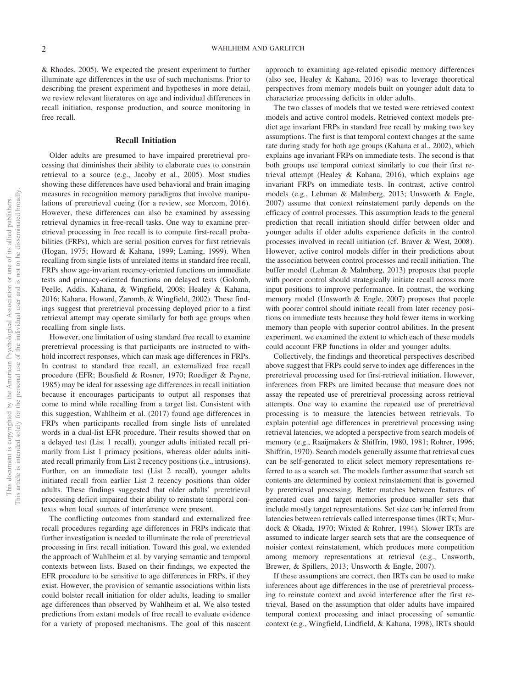& Rhodes, 2005). We expected the present experiment to further illuminate age differences in the use of such mechanisms. Prior to describing the present experiment and hypotheses in more detail, we review relevant literatures on age and individual differences in recall initiation, response production, and source monitoring in free recall.

#### **Recall Initiation**

Older adults are presumed to have impaired preretrieval processing that diminishes their ability to elaborate cues to constrain retrieval to a source (e.g., Jacoby et al., 2005). Most studies showing these differences have used behavioral and brain imaging measures in recognition memory paradigms that involve manipulations of preretrieval cueing (for a review, see Morcom, 2016). However, these differences can also be examined by assessing retrieval dynamics in free-recall tasks. One way to examine preretrieval processing in free recall is to compute first-recall probabilities (FRPs), which are serial position curves for first retrievals (Hogan, 1975; Howard & Kahana, 1999; Laming, 1999). When recalling from single lists of unrelated items in standard free recall, FRPs show age-invariant recency-oriented functions on immediate tests and primacy-oriented functions on delayed tests (Golomb, Peelle, Addis, Kahana, & Wingfield, 2008; Healey & Kahana, 2016; Kahana, Howard, Zaromb, & Wingfield, 2002). These findings suggest that preretrieval processing deployed prior to a first retrieval attempt may operate similarly for both age groups when recalling from single lists.

However, one limitation of using standard free recall to examine preretrieval processing is that participants are instructed to withhold incorrect responses, which can mask age differences in FRPs. In contrast to standard free recall, an externalized free recall procedure (EFR; Bousfield & Rosner, 1970; Roediger & Payne, 1985) may be ideal for assessing age differences in recall initiation because it encourages participants to output all responses that come to mind while recalling from a target list. Consistent with this suggestion, Wahlheim et al. (2017) found age differences in FRPs when participants recalled from single lists of unrelated words in a dual-list EFR procedure. Their results showed that on a delayed test (List 1 recall), younger adults initiated recall primarily from List 1 primacy positions, whereas older adults initiated recall primarily from List 2 recency positions (i.e., intrusions). Further, on an immediate test (List 2 recall), younger adults initiated recall from earlier List 2 recency positions than older adults. These findings suggested that older adults' preretrieval processing deficit impaired their ability to reinstate temporal contexts when local sources of interference were present.

The conflicting outcomes from standard and externalized free recall procedures regarding age differences in FRPs indicate that further investigation is needed to illuminate the role of preretrieval processing in first recall initiation. Toward this goal, we extended the approach of Wahlheim et al. by varying semantic and temporal contexts between lists. Based on their findings, we expected the EFR procedure to be sensitive to age differences in FRPs, if they exist. However, the provision of semantic associations within lists could bolster recall initiation for older adults, leading to smaller age differences than observed by Wahlheim et al. We also tested predictions from extant models of free recall to evaluate evidence for a variety of proposed mechanisms. The goal of this nascent

approach to examining age-related episodic memory differences (also see, Healey & Kahana, 2016) was to leverage theoretical perspectives from memory models built on younger adult data to characterize processing deficits in older adults.

The two classes of models that we tested were retrieved context models and active control models. Retrieved context models predict age invariant FRPs in standard free recall by making two key assumptions. The first is that temporal context changes at the same rate during study for both age groups (Kahana et al., 2002), which explains age invariant FRPs on immediate tests. The second is that both groups use temporal context similarly to cue their first retrieval attempt (Healey & Kahana, 2016), which explains age invariant FRPs on immediate tests. In contrast, active control models (e.g., Lehman & Malmberg, 2013; Unsworth & Engle, 2007) assume that context reinstatement partly depends on the efficacy of control processes. This assumption leads to the general prediction that recall initiation should differ between older and younger adults if older adults experience deficits in the control processes involved in recall initiation (cf. Braver & West, 2008). However, active control models differ in their predictions about the association between control processes and recall initiation. The buffer model (Lehman & Malmberg, 2013) proposes that people with poorer control should strategically initiate recall across more input positions to improve performance. In contrast, the working memory model (Unsworth & Engle, 2007) proposes that people with poorer control should initiate recall from later recency positions on immediate tests because they hold fewer items in working memory than people with superior control abilities. In the present experiment, we examined the extent to which each of these models could account FRP functions in older and younger adults.

Collectively, the findings and theoretical perspectives described above suggest that FRPs could serve to index age differences in the preretrieval processing used for first-retrieval initiation. However, inferences from FRPs are limited because that measure does not assay the repeated use of preretrieval processing across retrieval attempts. One way to examine the repeated use of preretrieval processing is to measure the latencies between retrievals. To explain potential age differences in preretrieval processing using retrieval latencies, we adopted a perspective from search models of memory (e.g., Raaijmakers & Shiffrin, 1980, 1981; Rohrer, 1996; Shiffrin, 1970). Search models generally assume that retrieval cues can be self-generated to elicit select memory representations referred to as a search set. The models further assume that search set contents are determined by context reinstatement that is governed by preretrieval processing. Better matches between features of generated cues and target memories produce smaller sets that include mostly target representations. Set size can be inferred from latencies between retrievals called interresponse times (IRTs; Murdock & Okada, 1970; Wixted & Rohrer, 1994). Slower IRTs are assumed to indicate larger search sets that are the consequence of noisier context reinstatement, which produces more competition among memory representations at retrieval (e.g., Unsworth, Brewer, & Spillers, 2013; Unsworth & Engle, 2007).

If these assumptions are correct, then IRTs can be used to make inferences about age differences in the use of preretrieval processing to reinstate context and avoid interference after the first retrieval. Based on the assumption that older adults have impaired temporal context processing and intact processing of semantic context (e.g., Wingfield, Lindfield, & Kahana, 1998), IRTs should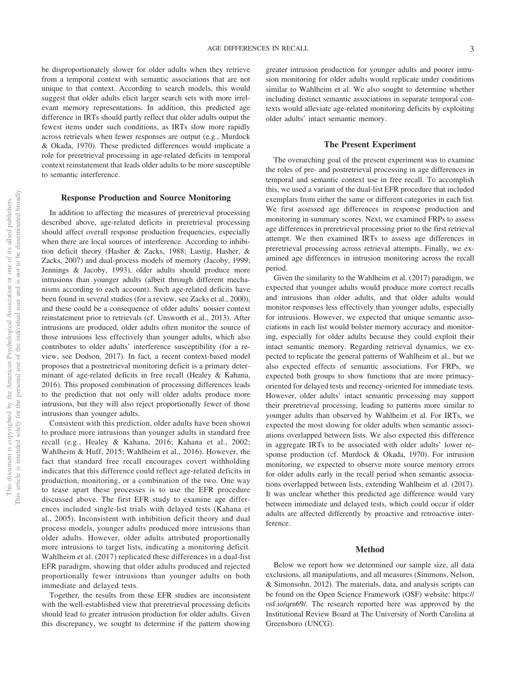be disproportionately slower for older adults when they retrieve from a temporal context with semantic associations that are not unique to that context. According to search models, this would suggest that older adults elicit larger search sets with more irrelevant memory representations. In addition, this predicted age difference in IRTs should partly reflect that older adults output the fewest items under such conditions, as IRTs slow more rapidly across retrievals when fewer responses are output (e.g., Murdock & Okada, 1970). These predicted differences would implicate a role for preretrieval processing in age-related deficits in temporal context reinstatement that leads older adults to be more susceptible to semantic interference.

#### **Response Production and Source Monitoring**

In addition to affecting the measures of preretrieval processing described above, age-related deficits in preretrieval processing should affect overall response production frequencies, especially when there are local sources of interference. According to inhibition deficit theory (Hasher & Zacks, 1988; Lustig, Hasher, & Zacks, 2007) and dual-process models of memory (Jacoby, 1999; Jennings & Jacoby, 1993), older adults should produce more intrusions than younger adults (albeit through different mechanisms according to each account). Such age-related deficits have been found in several studies (for a review, see Zacks et al., 2000), and these could be a consequence of older adults' noisier context reinstatement prior to retrievals (cf. Unsworth et al., 2013). After intrusions are produced, older adults often monitor the source of those intrusions less effectively than younger adults, which also contributes to older adults' interference susceptibility (for a review, see Dodson, 2017). In fact, a recent context-based model proposes that a postretrieval monitoring deficit is a primary determinant of age-related deficits in free recall (Healey & Kahana, 2016). This proposed combination of processing differences leads to the prediction that not only will older adults produce more intrusions, but they will also reject proportionally fewer of those intrusions than younger adults.

Consistent with this prediction, older adults have been shown to produce more intrusions than younger adults in standard free recall (e.g., Healey & Kahana, 2016; Kahana et al., 2002; Wahlheim & Huff, 2015; Wahlheim et al., 2016). However, the fact that standard free recall encourages covert withholding indicates that this difference could reflect age-related deficits in production, monitoring, or a combination of the two. One way to tease apart these processes is to use the EFR procedure discussed above. The first EFR study to examine age differences included single-list trials with delayed tests (Kahana et al., 2005). Inconsistent with inhibition deficit theory and dual process models, younger adults produced more intrusions than older adults. However, older adults attributed proportionally more intrusions to target lists, indicating a monitoring deficit. Wahlheim et al. (2017) replicated these differences in a dual-list EFR paradigm, showing that older adults produced and rejected proportionally fewer intrusions than younger adults on both immediate and delayed tests.

Together, the results from these EFR studies are inconsistent with the well-established view that preretrieval processing deficits should lead to greater intrusion production for older adults. Given this discrepancy, we sought to determine if the pattern showing

greater intrusion production for younger adults and poorer intrusion monitoring for older adults would replicate under conditions similar to Wahlheim et al. We also sought to determine whether including distinct semantic associations in separate temporal contexts would alleviate age-related monitoring deficits by exploiting older adults' intact semantic memory.

#### **The Present Experiment**

The overarching goal of the present experiment was to examine the roles of pre- and postretrieval processing in age differences in temporal and semantic context use in free recall. To accomplish this, we used a variant of the dual-list EFR procedure that included exemplars from either the same or different categories in each list. We first assessed age differences in response production and monitoring in summary scores. Next, we examined FRPs to assess age differences in preretrieval processing prior to the first retrieval attempt. We then examined IRTs to assess age differences in preretrieval processing across retrieval attempts. Finally, we examined age differences in intrusion monitoring across the recall period.

Given the similarity to the Wahlheim et al. (2017) paradigm, we expected that younger adults would produce more correct recalls and intrusions than older adults, and that older adults would monitor responses less effectively than younger adults, especially for intrusions. However, we expected that unique semantic associations in each list would bolster memory accuracy and monitoring, especially for older adults because they could exploit their intact semantic memory. Regarding retrieval dynamics, we expected to replicate the general patterns of Wahlheim et al., but we also expected effects of semantic associations. For FRPs, we expected both groups to show functions that are more primacyoriented for delayed tests and recency-oriented for immediate tests. However, older adults' intact semantic processing may support their preretrieval processing, leading to patterns more similar to younger adults than observed by Wahlheim et al. For IRTs, we expected the most slowing for older adults when semantic associations overlapped between lists. We also expected this difference in aggregate IRTs to be associated with older adults' lower response production (cf. Murdock & Okada, 1970). For intrusion monitoring, we expected to observe more source memory errors for older adults early in the recall period when semantic associations overlapped between lists, extending Wahlheim et al. (2017). It was unclear whether this predicted age difference would vary between immediate and delayed tests, which could occur if older adults are affected differently by proactive and retroactive interference.

#### **Method**

Below we report how we determined our sample size, all data exclusions, all manipulations, and all measures (Simmons, Nelson, & Simonsohn, 2012). The materials, data, and analysis scripts can be found on the Open Science Framework (OSF) website: [https://](https://osf.io/qrn69/) [osf.io/qrn69/.](https://osf.io/qrn69/) The research reported here was approved by the Institutional Review Board at The University of North Carolina at Greensboro (UNCG).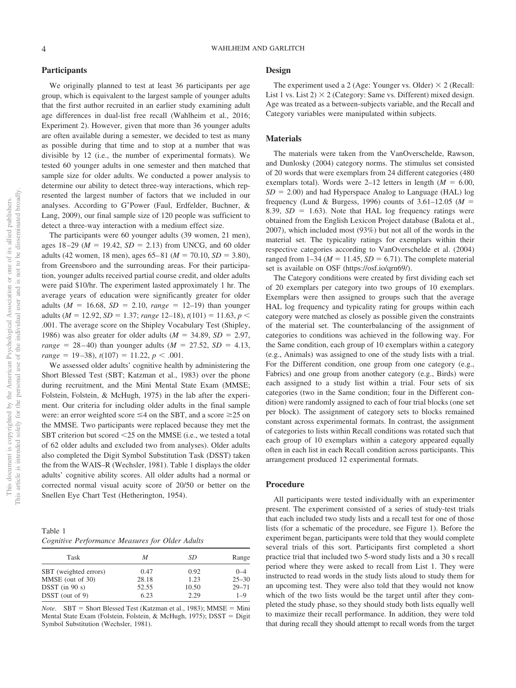#### **Participants**

We originally planned to test at least 36 participants per age group, which is equivalent to the largest sample of younger adults that the first author recruited in an earlier study examining adult age differences in dual-list free recall (Wahlheim et al., 2016; Experiment 2). However, given that more than 36 younger adults are often available during a semester, we decided to test as many as possible during that time and to stop at a number that was divisible by 12 (i.e., the number of experimental formats). We tested 60 younger adults in one semester and then matched that sample size for older adults. We conducted a power analysis to determine our ability to detect three-way interactions, which represented the largest number of factors that we included in our analyses. According to G\*Power [\(Faul, Erdfelder, Buchner, &](#page-14-0) [Lang, 2009\)](#page-14-0), our final sample size of 120 people was sufficient to detect a three-way interaction with a medium effect size.

The participants were 60 younger adults (39 women, 21 men), ages  $18-29$  ( $M = 19.42$ ,  $SD = 2.13$ ) from UNCG, and 60 older adults (42 women, 18 men), ages  $65-81$  ( $M = 70.10$ ,  $SD = 3.80$ ), from Greensboro and the surrounding areas. For their participation, younger adults received partial course credit, and older adults were paid \$10/hr. The experiment lasted approximately 1 hr. The average years of education were significantly greater for older adults ( $M = 16.68$ ,  $SD = 2.10$ ,  $range = 12-19$ ) than younger adults ( $M = 12.92$ ,  $SD = 1.37$ ; *range* 12–18),  $t(101) = 11.63$ ,  $p <$ .001. The average score on the Shipley Vocabulary Test (Shipley, 1986) was also greater for older adults  $(M = 34.89, SD = 2.97,$  $range = 28 - 40$ ) than younger adults ( $M = 27.52$ ,  $SD = 4.13$ ,  $range = 19-38$ ,  $t(107) = 11.22$ ,  $p < .001$ .

We assessed older adults' cognitive health by administering the Short Blessed Test (SBT; Katzman et al., 1983) over the phone during recruitment, and the Mini Mental State Exam (MMSE; Folstein, Folstein, & McHugh, 1975) in the lab after the experiment. Our criteria for including older adults in the final sample were: an error weighted score  $\leq$ 4 on the SBT, and a score  $\geq$ 25 on the MMSE. Two participants were replaced because they met the SBT criterion but scored 25 on the MMSE (i.e., we tested a total of 62 older adults and excluded two from analyses). Older adults also completed the Digit Symbol Substitution Task (DSST) taken the from the WAIS–R (Wechsler, 1981). [Table 1](#page-4-0) displays the older adults' cognitive ability scores. All older adults had a normal or corrected normal visual acuity score of 20/50 or better on the Snellen Eye Chart Test (Hetherington, 1954).

<span id="page-4-0"></span>Table 1 *Cognitive Performance Measures for Older Adults*

| Task                  | M     | SD    | Range     |
|-----------------------|-------|-------|-----------|
| SBT (weighted errors) | 0.47  | 0.92  | $0 - 4$   |
| MMSE (out of 30)      | 28.18 | 1.23  | $25 - 30$ |
| $D SST$ (in 90 s)     | 52.55 | 10.50 | $29 - 71$ |
| $D SST$ (out of 9)    | 6.23  | 2.29  | $1 - Q$   |

*Note*. SBT = Short Blessed Test (Katzman et al., 1983); MMSE = Mini Mental State Exam (Folstein, Folstein, & McHugh, 1975); DSST = Digit Symbol Substitution (Wechsler, 1981).

#### **Design**

The experiment used a 2 (Age: Younger vs. Older)  $\times$  2 (Recall: List 1 vs. List 2)  $\times$  2 (Category: Same vs. Different) mixed design. Age was treated as a between-subjects variable, and the Recall and Category variables were manipulated within subjects.

#### **Materials**

The materials were taken from the VanOverschelde, Rawson, and Dunlosky (2004) category norms. The stimulus set consisted of 20 words that were exemplars from 24 different categories (480 exemplars total). Words were  $2-12$  letters in length ( $M = 6.00$ ,  $SD = 2.00$ ) and had Hyperspace Analog to Language (HAL) log frequency (Lund & Burgess, 1996) counts of  $3.61-12.05$  ( $M =$  $8.39, SD = 1.63$ ). Note that HAL log frequency ratings were obtained from the English Lexicon Project database (Balota et al., 2007), which included most (93%) but not all of the words in the material set. The typicality ratings for exemplars within their respective categories according to VanOverschelde et al. (2004) ranged from  $1-34$  ( $M = 11.45$ ,  $SD = 6.71$ ). The complete material set is available on OSF [\(https://osf.io/qrn69/\)](https://osf.io/qrn69/).

The Category conditions were created by first dividing each set of 20 exemplars per category into two groups of 10 exemplars. Exemplars were then assigned to groups such that the average HAL log frequency and typicality rating for groups within each category were matched as closely as possible given the constraints of the material set. The counterbalancing of the assignment of categories to conditions was achieved in the following way. For the Same condition, each group of 10 exemplars within a category (e.g., Animals) was assigned to one of the study lists with a trial. For the Different condition, one group from one category (e.g., Fabrics) and one group from another category (e.g., Birds) were each assigned to a study list within a trial. Four sets of six categories (two in the Same condition; four in the Different condition) were randomly assigned to each of four trial blocks (one set per block). The assignment of category sets to blocks remained constant across experimental formats. In contrast, the assignment of categories to lists within Recall conditions was rotated such that each group of 10 exemplars within a category appeared equally often in each list in each Recall condition across participants. This arrangement produced 12 experimental formats.

#### **Procedure**

All participants were tested individually with an experimenter present. The experiment consisted of a series of study-test trials that each included two study lists and a recall test for one of those lists (for a schematic of the procedure, see Figure 1). Before the experiment began, participants were told that they would complete several trials of this sort. Participants first completed a short practice trial that included two 5-word study lists and a 30 s recall period where they were asked to recall from List 1. They were instructed to read words in the study lists aloud to study them for an upcoming test. They were also told that they would not know which of the two lists would be the target until after they completed the study phase, so they should study both lists equally well to maximize their recall performance. In addition, they were told that during recall they should attempt to recall words from the target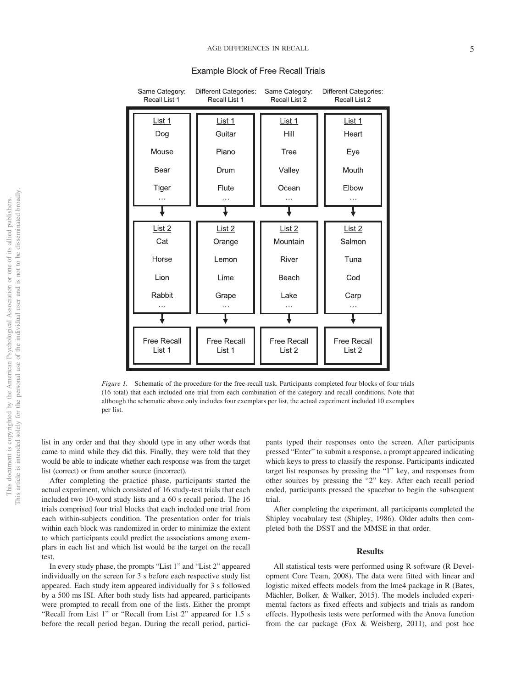

#### **Example Block of Free Recall Trials**

*Figure 1.* Schematic of the procedure for the free-recall task. Participants completed four blocks of four trials (16 total) that each included one trial from each combination of the category and recall conditions. Note that although the schematic above only includes four exemplars per list, the actual experiment included 10 exemplars per list.

list in any order and that they should type in any other words that came to mind while they did this. Finally, they were told that they would be able to indicate whether each response was from the target list (correct) or from another source (incorrect).

After completing the practice phase, participants started the actual experiment, which consisted of 16 study-test trials that each included two 10-word study lists and a 60 s recall period. The 16 trials comprised four trial blocks that each included one trial from each within-subjects condition. The presentation order for trials within each block was randomized in order to minimize the extent to which participants could predict the associations among exemplars in each list and which list would be the target on the recall test.

In every study phase, the prompts "List 1" and "List 2" appeared individually on the screen for 3 s before each respective study list appeared. Each study item appeared individually for 3 s followed by a 500 ms ISI. After both study lists had appeared, participants were prompted to recall from one of the lists. Either the prompt "Recall from List 1" or "Recall from List 2" appeared for 1.5 s before the recall period began. During the recall period, participants typed their responses onto the screen. After participants pressed "Enter" to submit a response, a prompt appeared indicating which keys to press to classify the response. Participants indicated target list responses by pressing the "1" key, and responses from other sources by pressing the "2" key. After each recall period ended, participants pressed the spacebar to begin the subsequent trial.

After completing the experiment, all participants completed the Shipley vocabulary test (Shipley, 1986). Older adults then completed both the DSST and the MMSE in that order.

#### **Results**

All statistical tests were performed using R software (R Development Core Team, 2008). The data were fitted with linear and logistic mixed effects models from the lme4 package in R (Bates, Mächler, Bolker, & Walker, 2015). The models included experimental factors as fixed effects and subjects and trials as random effects. Hypothesis tests were performed with the Anova function from the car package (Fox & Weisberg, 2011), and post hoc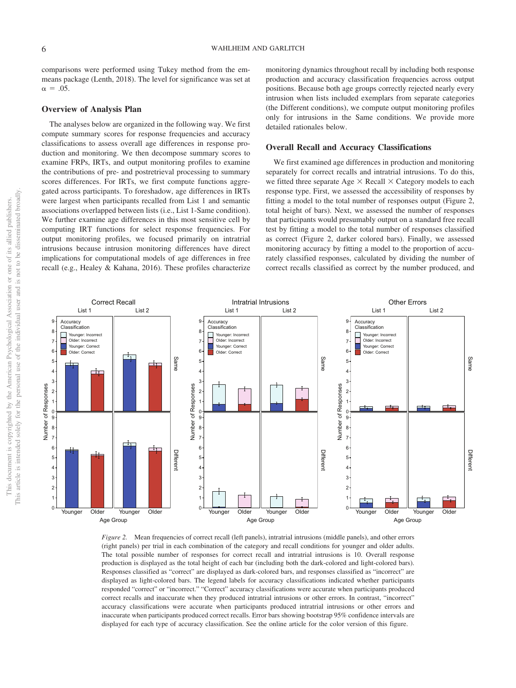comparisons were performed using Tukey method from the emmeans package (Lenth, 2018). The level for significance was set at  $\alpha = .05$ .

#### **Overview of Analysis Plan**

The analyses below are organized in the following way. We first compute summary scores for response frequencies and accuracy classifications to assess overall age differences in response production and monitoring. We then decompose summary scores to examine FRPs, IRTs, and output monitoring profiles to examine the contributions of pre- and postretrieval processing to summary scores differences. For IRTs, we first compute functions aggregated across participants. To foreshadow, age differences in IRTs were largest when participants recalled from List 1 and semantic associations overlapped between lists (i.e., List 1-Same condition). We further examine age differences in this most sensitive cell by computing IRT functions for select response frequencies. For output monitoring profiles, we focused primarily on intratrial intrusions because intrusion monitoring differences have direct implications for computational models of age differences in free recall (e.g., Healey & Kahana, 2016). These profiles characterize

monitoring dynamics throughout recall by including both response production and accuracy classification frequencies across output positions. Because both age groups correctly rejected nearly every intrusion when lists included exemplars from separate categories (the Different conditions), we compute output monitoring profiles only for intrusions in the Same conditions. We provide more detailed rationales below.

#### **Overall Recall and Accuracy Classifications**

We first examined age differences in production and monitoring separately for correct recalls and intratrial intrusions. To do this, we fitted three separate Age  $\times$  Recall  $\times$  Category models to each response type. First, we assessed the accessibility of responses by fitting a model to the total number of responses output (Figure 2, total height of bars). Next, we assessed the number of responses that participants would presumably output on a standard free recall test by fitting a model to the total number of responses classified as correct (Figure 2, darker colored bars). Finally, we assessed monitoring accuracy by fitting a model to the proportion of accurately classified responses, calculated by dividing the number of correct recalls classified as correct by the number produced, and



*Figure 2.* Mean frequencies of correct recall (left panels), intratrial intrusions (middle panels), and other errors (right panels) per trial in each combination of the category and recall conditions for younger and older adults. The total possible number of responses for correct recall and intratrial intrusions is 10. Overall response production is displayed as the total height of each bar (including both the dark-colored and light-colored bars). Responses classified as "correct" are displayed as dark-colored bars, and responses classified as "incorrect" are displayed as light-colored bars. The legend labels for accuracy classifications indicated whether participants responded "correct" or "incorrect." "Correct" accuracy classifications were accurate when participants produced correct recalls and inaccurate when they produced intratrial intrusions or other errors. In contrast, "incorrect" accuracy classifications were accurate when participants produced intratrial intrusions or other errors and inaccurate when participants produced correct recalls. Error bars showing bootstrap 95% confidence intervals are displayed for each type of accuracy classification. See the online article for the color version of this figure.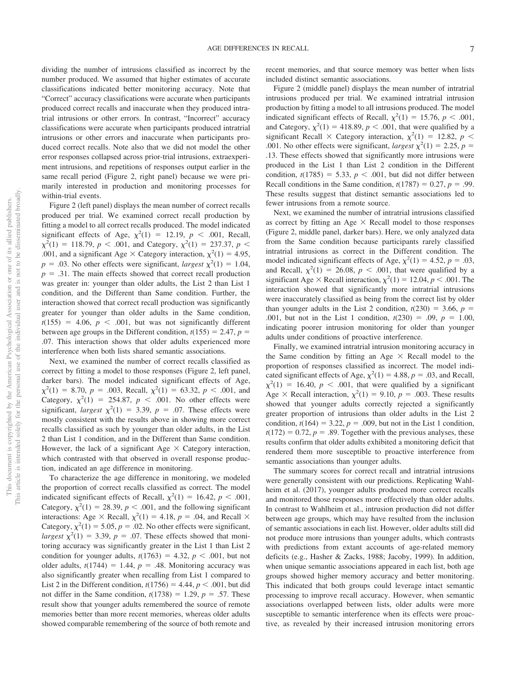dividing the number of intrusions classified as incorrect by the number produced. We assumed that higher estimates of accurate classifications indicated better monitoring accuracy. Note that "Correct" accuracy classifications were accurate when participants produced correct recalls and inaccurate when they produced intratrial intrusions or other errors. In contrast, "Incorrect" accuracy classifications were accurate when participants produced intratrial intrusions or other errors and inaccurate when participants produced correct recalls. Note also that we did not model the other error responses collapsed across prior-trial intrusions, extraexperiment intrusions, and repetitions of responses output earlier in the same recall period (Figure 2, right panel) because we were primarily interested in production and monitoring processes for within-trial events.

Figure 2 (left panel) displays the mean number of correct recalls produced per trial. We examined correct recall production by fitting a model to all correct recalls produced. The model indicated significant effects of Age,  $\chi^2(1) = 12.19$ ,  $p < .001$ , Recall,  $\chi^2(1) = 118.79$ ,  $p < .001$ , and Category,  $\chi^2(1) = 237.37$ ,  $p <$ .001, and a significant Age  $\times$  Category interaction,  $\chi^2(1) = 4.95$ ,  $p = .03$ . No other effects were significant, *largest*  $\chi^2(1) = 1.04$ ,  $p = .31$ . The main effects showed that correct recall production was greater in: younger than older adults, the List 2 than List 1 condition, and the Different than Same condition. Further, the interaction showed that correct recall production was significantly greater for younger than older adults in the Same condition,  $t(155) = 4.06, p < .001$ , but was not significantly different between age groups in the Different condition,  $t(155) = 2.47$ ,  $p =$ .07. This interaction shows that older adults experienced more interference when both lists shared semantic associations.

Next, we examined the number of correct recalls classified as correct by fitting a model to those responses (Figure 2, left panel, darker bars). The model indicated significant effects of Age,  $\chi^2(1) = 8.70$ ,  $p = .003$ , Recall,  $\chi^2(1) = 63.32$ ,  $p < .001$ , and Category,  $\chi^2(1) = 254.87$ ,  $p < .001$ . No other effects were significant, *largest*  $\chi^2(1) = 3.39$ ,  $p = .07$ . These effects were mostly consistent with the results above in showing more correct recalls classified as such by younger than older adults, in the List 2 than List 1 condition, and in the Different than Same condition. However, the lack of a significant Age  $\times$  Category interaction, which contrasted with that observed in overall response production, indicated an age difference in monitoring.

To characterize the age difference in monitoring, we modeled the proportion of correct recalls classified as correct. The model indicated significant effects of Recall,  $\chi^2(1) = 16.42$ ,  $p < .001$ , Category,  $\chi^2(1) = 28.39$ ,  $p < .001$ , and the following significant interactions: Age  $\times$  Recall,  $\chi^2(1) = 4.18$ ,  $p = .04$ , and Recall  $\times$ Category,  $\chi^2(1) = 5.05$ ,  $p = .02$ . No other effects were significant, *largest*  $\chi^2(1) = 3.39$ ,  $p = .07$ . These effects showed that monitoring accuracy was significantly greater in the List 1 than List 2 condition for younger adults,  $t(1763) = 4.32$ ,  $p < .001$ , but not older adults,  $t(1744) = 1.44$ ,  $p = .48$ . Monitoring accuracy was also significantly greater when recalling from List 1 compared to List 2 in the Different condition,  $t(1756) = 4.44$ ,  $p < .001$ , but did not differ in the Same condition,  $t(1738) = 1.29$ ,  $p = .57$ . These result show that younger adults remembered the source of remote memories better than more recent memories, whereas older adults showed comparable remembering of the source of both remote and recent memories, and that source memory was better when lists included distinct semantic associations.

Figure 2 (middle panel) displays the mean number of intratrial intrusions produced per trial. We examined intratrial intrusion production by fitting a model to all intrusions produced. The model indicated significant effects of Recall,  $\chi^2(1) = 15.76$ ,  $p < .001$ , and Category,  $\chi^2(1) = 418.89$ ,  $p < .001$ , that were qualified by a significant Recall  $\times$  Category interaction,  $\chi^2(1) = 12.82$ ,  $p <$ .001. No other effects were significant, *largest*  $\chi^2(1) = 2.25$ ,  $p =$ .13. These effects showed that significantly more intrusions were produced in the List 1 than List 2 condition in the Different condition,  $t(1785) = 5.33$ ,  $p < .001$ , but did not differ between Recall conditions in the Same condition,  $t(1787) = 0.27$ ,  $p = .99$ . These results suggest that distinct semantic associations led to fewer intrusions from a remote source.

Next, we examined the number of intratrial intrusions classified as correct by fitting an Age  $\times$  Recall model to those responses (Figure 2, middle panel, darker bars). Here, we only analyzed data from the Same condition because participants rarely classified intratrial intrusions as correct in the Different condition. The model indicated significant effects of Age,  $\chi^2(1) = 4.52$ ,  $p = .03$ , and Recall,  $\chi^2(1) = 26.08$ ,  $p < .001$ , that were qualified by a significant Age  $\times$  Recall interaction,  $\chi^2(1) = 12.04$ ,  $p < .001$ . The interaction showed that significantly more intratrial intrusions were inaccurately classified as being from the correct list by older than younger adults in the List 2 condition,  $t(230) = 3.66$ ,  $p =$ .001, but not in the List 1 condition,  $t(230) = .09$ ,  $p = 1.00$ , indicating poorer intrusion monitoring for older than younger adults under conditions of proactive interference.

Finally, we examined intratrial intrusion monitoring accuracy in the Same condition by fitting an Age  $\times$  Recall model to the proportion of responses classified as incorrect. The model indicated significant effects of Age,  $\chi^2(1) = 4.88$ ,  $p = .03$ , and Recall,  $\chi^2(1) = 16.40, p < .001$ , that were qualified by a significant Age  $\times$  Recall interaction,  $\chi^2(1) = 9.10$ ,  $p = .003$ . These results showed that younger adults correctly rejected a significantly greater proportion of intrusions than older adults in the List 2 condition,  $t(164) = 3.22$ ,  $p = .009$ , but not in the List 1 condition,  $t(172) = 0.72$ ,  $p = .89$ . Together with the previous analyses, these results confirm that older adults exhibited a monitoring deficit that rendered them more susceptible to proactive interference from semantic associations than younger adults.

The summary scores for correct recall and intratrial intrusions were generally consistent with our predictions. Replicating Wahlheim et al. (2017), younger adults produced more correct recalls and monitored those responses more effectively than older adults. In contrast to Wahlheim et al., intrusion production did not differ between age groups, which may have resulted from the inclusion of semantic associations in each list. However, older adults still did not produce more intrusions than younger adults, which contrasts with predictions from extant accounts of age-related memory deficits (e.g., Hasher & Zacks, 1988; Jacoby, 1999). In addition, when unique semantic associations appeared in each list, both age groups showed higher memory accuracy and better monitoring. This indicated that both groups could leverage intact semantic processing to improve recall accuracy. However, when semantic associations overlapped between lists, older adults were more susceptible to semantic interference when its effects were proactive, as revealed by their increased intrusion monitoring errors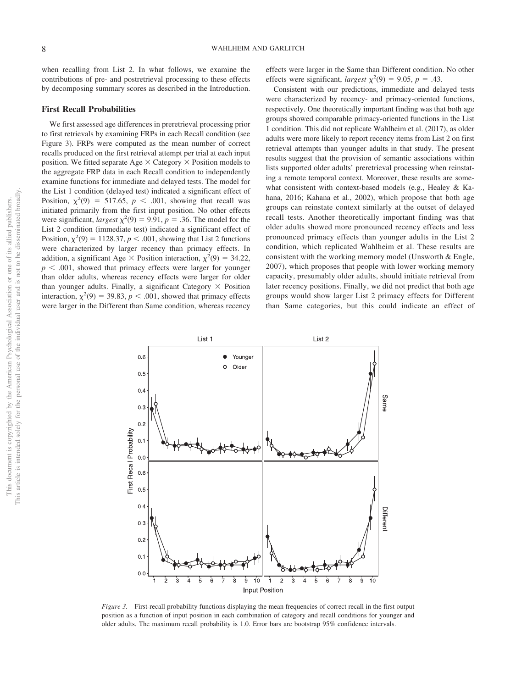when recalling from List 2. In what follows, we examine the contributions of pre- and postretrieval processing to these effects by decomposing summary scores as described in the Introduction.

#### **First Recall Probabilities**

We first assessed age differences in preretrieval processing prior to first retrievals by examining FRPs in each Recall condition (see Figure 3). FRPs were computed as the mean number of correct recalls produced on the first retrieval attempt per trial at each input position. We fitted separate Age  $\times$  Category  $\times$  Position models to the aggregate FRP data in each Recall condition to independently examine functions for immediate and delayed tests. The model for the List 1 condition (delayed test) indicated a significant effect of Position,  $\chi^2(9) = 517.65$ ,  $p < .001$ , showing that recall was initiated primarily from the first input position. No other effects were significant, *largest*  $\chi^2(9) = 9.91$ ,  $p = .36$ . The model for the List 2 condition (immediate test) indicated a significant effect of Position,  $\chi^2(9) = 1128.37$ ,  $p < .001$ , showing that List 2 functions were characterized by larger recency than primacy effects. In addition, a significant Age  $\times$  Position interaction,  $\chi^2(9) = 34.22$ ,  $p < .001$ , showed that primacy effects were larger for younger than older adults, whereas recency effects were larger for older than younger adults. Finally, a significant Category  $\times$  Position interaction,  $\chi^2(9) = 39.83$ ,  $p < .001$ , showed that primacy effects were larger in the Different than Same condition, whereas recency effects were larger in the Same than Different condition. No other effects were significant, *largest*  $\chi^2(9) = 9.05$ ,  $p = .43$ .

Consistent with our predictions, immediate and delayed tests were characterized by recency- and primacy-oriented functions, respectively. One theoretically important finding was that both age groups showed comparable primacy-oriented functions in the List 1 condition. This did not replicate Wahlheim et al. (2017), as older adults were more likely to report recency items from List 2 on first retrieval attempts than younger adults in that study. The present results suggest that the provision of semantic associations within lists supported older adults' preretrieval processing when reinstating a remote temporal context. Moreover, these results are somewhat consistent with context-based models (e.g., Healey & Kahana, 2016; Kahana et al., 2002), which propose that both age groups can reinstate context similarly at the outset of delayed recall tests. Another theoretically important finding was that older adults showed more pronounced recency effects and less pronounced primacy effects than younger adults in the List 2 condition, which replicated Wahlheim et al. These results are consistent with the working memory model (Unsworth & Engle, 2007), which proposes that people with lower working memory capacity, presumably older adults, should initiate retrieval from later recency positions. Finally, we did not predict that both age groups would show larger List 2 primacy effects for Different than Same categories, but this could indicate an effect of



*Figure 3.* First-recall probability functions displaying the mean frequencies of correct recall in the first output position as a function of input position in each combination of category and recall conditions for younger and older adults. The maximum recall probability is 1.0. Error bars are bootstrap 95% confidence intervals.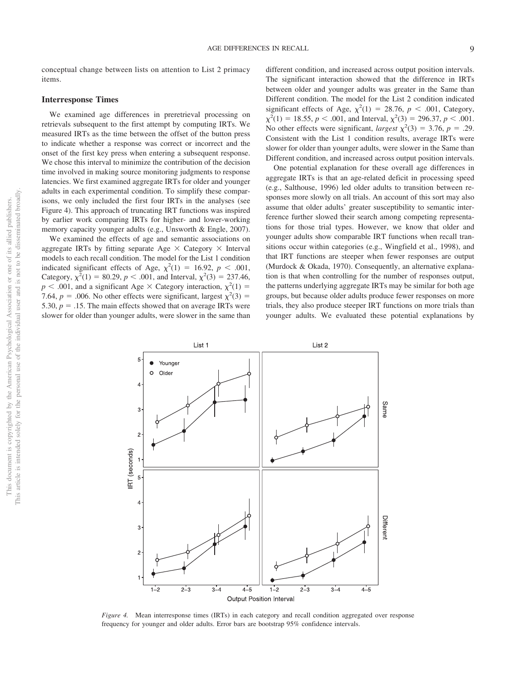conceptual change between lists on attention to List 2 primacy items.

#### **Interresponse Times**

We examined age differences in preretrieval processing on retrievals subsequent to the first attempt by computing IRTs. We measured IRTs as the time between the offset of the button press to indicate whether a response was correct or incorrect and the onset of the first key press when entering a subsequent response. We chose this interval to minimize the contribution of the decision time involved in making source monitoring judgments to response latencies. We first examined aggregate IRTs for older and younger adults in each experimental condition. To simplify these comparisons, we only included the first four IRTs in the analyses (see Figure 4). This approach of truncating IRT functions was inspired by earlier work comparing IRTs for higher- and lower-working memory capacity younger adults (e.g., Unsworth & Engle, 2007).

We examined the effects of age and semantic associations on aggregate IRTs by fitting separate Age  $\times$  Category  $\times$  Interval models to each recall condition. The model for the List 1 condition indicated significant effects of Age,  $\chi^2(1) = 16.92$ ,  $p < .001$ , Category,  $\chi^2(1) = 80.29$ ,  $p < .001$ , and Interval,  $\chi^2(3) = 237.46$ ,  $p < .001$ , and a significant Age  $\times$  Category interaction,  $\chi^2(1) =$ 7.64,  $p = .006$ . No other effects were significant, largest  $\chi^2(3) =$ 5.30,  $p = 0.15$ . The main effects showed that on average IRTs were slower for older than younger adults, were slower in the same than

different condition, and increased across output position intervals. The significant interaction showed that the difference in IRTs between older and younger adults was greater in the Same than Different condition. The model for the List 2 condition indicated significant effects of Age,  $\chi^2(1) = 28.76$ ,  $p < .001$ , Category,  $\chi^2(1) = 18.55, p < .001$ , and Interval,  $\chi^2(3) = 296.37, p < .001$ . No other effects were significant, *largest*  $\chi^2(3) = 3.76$ ,  $p = .29$ . Consistent with the List 1 condition results, average IRTs were slower for older than younger adults, were slower in the Same than Different condition, and increased across output position intervals.

One potential explanation for these overall age differences in aggregate IRTs is that an age-related deficit in processing speed (e.g., Salthouse, 1996) led older adults to transition between responses more slowly on all trials. An account of this sort may also assume that older adults' greater susceptibility to semantic interference further slowed their search among competing representations for those trial types. However, we know that older and younger adults show comparable IRT functions when recall transitions occur within categories (e.g., Wingfield et al., 1998), and that IRT functions are steeper when fewer responses are output (Murdock & Okada, 1970). Consequently, an alternative explanation is that when controlling for the number of responses output, the patterns underlying aggregate IRTs may be similar for both age groups, but because older adults produce fewer responses on more trials, they also produce steeper IRT functions on more trials than younger adults. We evaluated these potential explanations by



*Figure 4.* Mean interresponse times (IRTs) in each category and recall condition aggregated over response frequency for younger and older adults. Error bars are bootstrap 95% confidence intervals.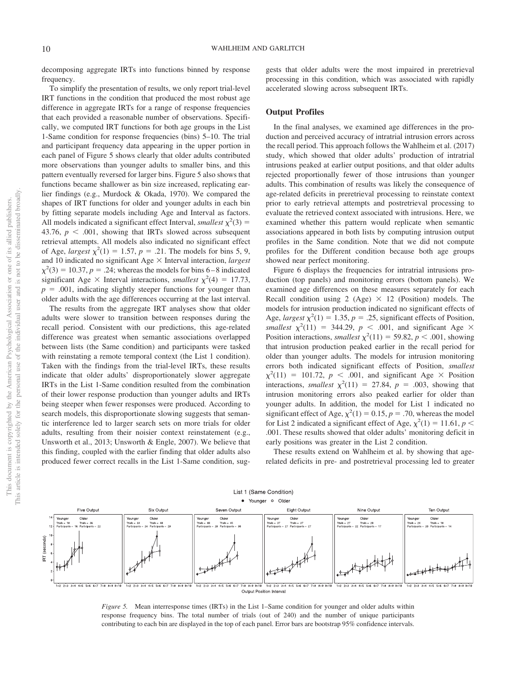decomposing aggregate IRTs into functions binned by response frequency.

To simplify the presentation of results, we only report trial-level IRT functions in the condition that produced the most robust age difference in aggregate IRTs for a range of response frequencies that each provided a reasonable number of observations. Specifically, we computed IRT functions for both age groups in the List 1-Same condition for response frequencies (bins) 5–10. The trial and participant frequency data appearing in the upper portion in each panel of [Figure 5](#page-10-0) shows clearly that older adults contributed more observations than younger adults to smaller bins, and this pattern eventually reversed for larger bins. [Figure 5](#page-10-0) also shows that functions became shallower as bin size increased, replicating earlier findings (e.g., Murdock & Okada, 1970). We compared the shapes of IRT functions for older and younger adults in each bin by fitting separate models including Age and Interval as factors. All models indicated a significant effect Interval, *smallest*  $\chi^2(3)$  = 43.76,  $p < .001$ , showing that IRTs slowed across subsequent retrieval attempts. All models also indicated no significant effect of Age, *largest*  $\chi^2(1) = 1.57$ ,  $p = .21$ . The models for bins 5, 9, and 10 indicated no significant Age  $\times$  Interval interaction, *largest*  $\chi^2(3) = 10.37, p = .24$ ; whereas the models for bins 6–8 indicated significant Age  $\times$  Interval interactions, *smallest*  $\chi^2(4) = 17.73$ ,  $p = .001$ , indicating slightly steeper functions for younger than older adults with the age differences occurring at the last interval.

The results from the aggregate IRT analyses show that older adults were slower to transition between responses during the recall period. Consistent with our predictions, this age-related difference was greatest when semantic associations overlapped between lists (the Same condition) and participants were tasked with reinstating a remote temporal context (the List 1 condition). Taken with the findings from the trial-level IRTs, these results indicate that older adults' disproportionately slower aggregate IRTs in the List 1-Same condition resulted from the combination of their lower response production than younger adults and IRTs being steeper when fewer responses were produced. According to search models, this disproportionate slowing suggests that semantic interference led to larger search sets on more trials for older adults, resulting from their noisier context reinstatement (e.g., Unsworth et al., 2013; Unsworth & Engle, 2007). We believe that this finding, coupled with the earlier finding that older adults also produced fewer correct recalls in the List 1-Same condition, suggests that older adults were the most impaired in preretrieval processing in this condition, which was associated with rapidly accelerated slowing across subsequent IRTs.

#### **Output Profiles**

In the final analyses, we examined age differences in the production and perceived accuracy of intratrial intrusion errors across the recall period. This approach follows the Wahlheim et al. (2017) study, which showed that older adults' production of intratrial intrusions peaked at earlier output positions, and that older adults rejected proportionally fewer of those intrusions than younger adults. This combination of results was likely the consequence of age-related deficits in preretrieval processing to reinstate context prior to early retrieval attempts and postretrieval processing to evaluate the retrieved context associated with intrusions. Here, we examined whether this pattern would replicate when semantic associations appeared in both lists by computing intrusion output profiles in the Same condition. Note that we did not compute profiles for the Different condition because both age groups showed near perfect monitoring.

Figure 6 displays the frequencies for intratrial intrusions production (top panels) and monitoring errors (bottom panels). We examined age differences on these measures separately for each Recall condition using 2 (Age)  $\times$  12 (Position) models. The models for intrusion production indicated no significant effects of Age, *largest*  $\chi^2(1) = 1.35$ ,  $p = .25$ , significant effects of Position, *smallest*  $\chi^2(11) = 344.29$ ,  $p < .001$ , and significant Age  $\times$ Position interactions, *smallest*  $\chi^2(11) = 59.82$ ,  $p < .001$ , showing that intrusion production peaked earlier in the recall period for older than younger adults. The models for intrusion monitoring errors both indicated significant effects of Position, *smallest*  $\chi^2(11)$  = 101.72, *p* < .001, and significant Age × Position interactions, *smallest*  $\chi^2(11) = 27.84$ ,  $p = .003$ , showing that intrusion monitoring errors also peaked earlier for older than younger adults. In addition, the model for List 1 indicated no significant effect of Age,  $\chi^2(1) = 0.15$ ,  $p = .70$ , whereas the model for List 2 indicated a significant effect of Age,  $\chi^2(1) = 11.61$ ,  $p <$ .001. These results showed that older adults' monitoring deficit in early positions was greater in the List 2 condition.

These results extend on Wahlheim et al. by showing that agerelated deficits in pre- and postretrieval processing led to greater



<span id="page-10-0"></span>*Figure 5.* Mean interresponse times (IRTs) in the List 1–Same condition for younger and older adults within response frequency bins. The total number of trials (out of 240) and the number of unique participants contributing to each bin are displayed in the top of each panel. Error bars are bootstrap 95% confidence intervals.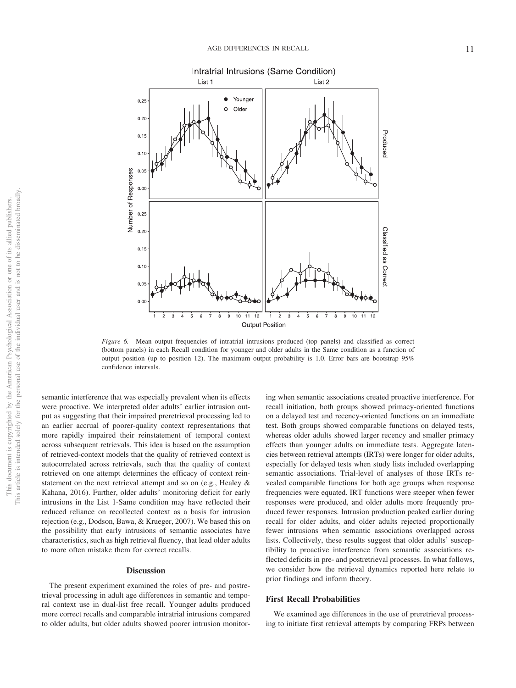

*Figure 6.* Mean output frequencies of intratrial intrusions produced (top panels) and classified as correct (bottom panels) in each Recall condition for younger and older adults in the Same condition as a function of output position (up to position 12). The maximum output probability is 1.0. Error bars are bootstrap 95% confidence intervals.

semantic interference that was especially prevalent when its effects were proactive. We interpreted older adults' earlier intrusion output as suggesting that their impaired preretrieval processing led to an earlier accrual of poorer-quality context representations that more rapidly impaired their reinstatement of temporal context across subsequent retrievals. This idea is based on the assumption of retrieved-context models that the quality of retrieved context is autocorrelated across retrievals, such that the quality of context retrieved on one attempt determines the efficacy of context reinstatement on the next retrieval attempt and so on (e.g., Healey & Kahana, 2016). Further, older adults' monitoring deficit for early intrusions in the List 1-Same condition may have reflected their reduced reliance on recollected context as a basis for intrusion rejection (e.g., Dodson, Bawa, & Krueger, 2007). We based this on the possibility that early intrusions of semantic associates have characteristics, such as high retrieval fluency, that lead older adults to more often mistake them for correct recalls.

#### **Discussion**

The present experiment examined the roles of pre- and postretrieval processing in adult age differences in semantic and temporal context use in dual-list free recall. Younger adults produced more correct recalls and comparable intratrial intrusions compared to older adults, but older adults showed poorer intrusion monitoring when semantic associations created proactive interference. For recall initiation, both groups showed primacy-oriented functions on a delayed test and recency-oriented functions on an immediate test. Both groups showed comparable functions on delayed tests, whereas older adults showed larger recency and smaller primacy effects than younger adults on immediate tests. Aggregate latencies between retrieval attempts (IRTs) were longer for older adults, especially for delayed tests when study lists included overlapping semantic associations. Trial-level of analyses of those IRTs revealed comparable functions for both age groups when response frequencies were equated. IRT functions were steeper when fewer responses were produced, and older adults more frequently produced fewer responses. Intrusion production peaked earlier during recall for older adults, and older adults rejected proportionally fewer intrusions when semantic associations overlapped across lists. Collectively, these results suggest that older adults' susceptibility to proactive interference from semantic associations reflected deficits in pre- and postretrieval processes. In what follows, we consider how the retrieval dynamics reported here relate to prior findings and inform theory.

#### **First Recall Probabilities**

We examined age differences in the use of preretrieval processing to initiate first retrieval attempts by comparing FRPs between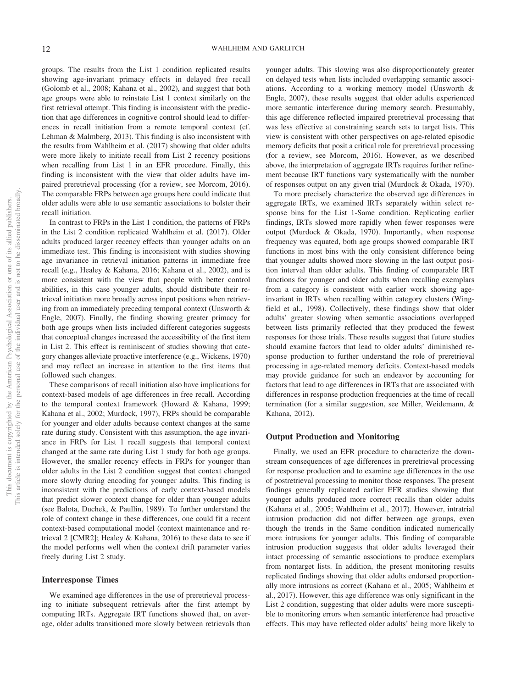groups. The results from the List 1 condition replicated results showing age-invariant primacy effects in delayed free recall (Golomb et al., 2008; Kahana et al., 2002), and suggest that both age groups were able to reinstate List 1 context similarly on the first retrieval attempt. This finding is inconsistent with the prediction that age differences in cognitive control should lead to differences in recall initiation from a remote temporal context (cf. Lehman & Malmberg, 2013). This finding is also inconsistent with the results from Wahlheim et al. (2017) showing that older adults were more likely to initiate recall from List 2 recency positions when recalling from List 1 in an EFR procedure. Finally, this finding is inconsistent with the view that older adults have impaired preretrieval processing (for a review, see Morcom, 2016). The comparable FRPs between age groups here could indicate that older adults were able to use semantic associations to bolster their recall initiation.

In contrast to FRPs in the List 1 condition, the patterns of FRPs in the List 2 condition replicated Wahlheim et al. (2017). Older adults produced larger recency effects than younger adults on an immediate test. This finding is inconsistent with studies showing age invariance in retrieval initiation patterns in immediate free recall (e.g., Healey & Kahana, 2016; Kahana et al., 2002), and is more consistent with the view that people with better control abilities, in this case younger adults, should distribute their retrieval initiation more broadly across input positions when retrieving from an immediately preceding temporal context (Unsworth & Engle, 2007). Finally, the finding showing greater primacy for both age groups when lists included different categories suggests that conceptual changes increased the accessibility of the first item in List 2. This effect is reminiscent of studies showing that category changes alleviate proactive interference (e.g., Wickens, 1970) and may reflect an increase in attention to the first items that followed such changes.

These comparisons of recall initiation also have implications for context-based models of age differences in free recall. According to the temporal context framework (Howard & Kahana, 1999; Kahana et al., 2002; Murdock, 1997), FRPs should be comparable for younger and older adults because context changes at the same rate during study. Consistent with this assumption, the age invariance in FRPs for List 1 recall suggests that temporal context changed at the same rate during List 1 study for both age groups. However, the smaller recency effects in FRPs for younger than older adults in the List 2 condition suggest that context changed more slowly during encoding for younger adults. This finding is inconsistent with the predictions of early context-based models that predict slower context change for older than younger adults (see Balota, Duchek, & Paullin, 1989). To further understand the role of context change in these differences, one could fit a recent context-based computational model (context maintenance and retrieval 2 [CMR2]; Healey & Kahana, 2016) to these data to see if the model performs well when the context drift parameter varies freely during List 2 study.

#### **Interresponse Times**

We examined age differences in the use of preretrieval processing to initiate subsequent retrievals after the first attempt by computing IRTs. Aggregate IRT functions showed that, on average, older adults transitioned more slowly between retrievals than younger adults. This slowing was also disproportionately greater on delayed tests when lists included overlapping semantic associations. According to a working memory model (Unsworth & Engle, 2007), these results suggest that older adults experienced more semantic interference during memory search. Presumably, this age difference reflected impaired preretrieval processing that was less effective at constraining search sets to target lists. This view is consistent with other perspectives on age-related episodic memory deficits that posit a critical role for preretrieval processing (for a review, see Morcom, 2016). However, as we described above, the interpretation of aggregate IRTs requires further refinement because IRT functions vary systematically with the number of responses output on any given trial (Murdock & Okada, 1970).

To more precisely characterize the observed age differences in aggregate IRTs, we examined IRTs separately within select response bins for the List 1-Same condition. Replicating earlier findings, IRTs slowed more rapidly when fewer responses were output (Murdock & Okada, 1970). Importantly, when response frequency was equated, both age groups showed comparable IRT functions in most bins with the only consistent difference being that younger adults showed more slowing in the last output position interval than older adults. This finding of comparable IRT functions for younger and older adults when recalling exemplars from a category is consistent with earlier work showing ageinvariant in IRTs when recalling within category clusters (Wingfield et al., 1998). Collectively, these findings show that older adults' greater slowing when semantic associations overlapped between lists primarily reflected that they produced the fewest responses for those trials. These results suggest that future studies should examine factors that lead to older adults' diminished response production to further understand the role of preretrieval processing in age-related memory deficits. Context-based models may provide guidance for such an endeavor by accounting for factors that lead to age differences in IRTs that are associated with differences in response production frequencies at the time of recall termination (for a similar suggestion, see Miller, Weidemann, & Kahana, 2012).

#### **Output Production and Monitoring**

Finally, we used an EFR procedure to characterize the downstream consequences of age differences in preretrieval processing for response production and to examine age differences in the use of postretrieval processing to monitor those responses. The present findings generally replicated earlier EFR studies showing that younger adults produced more correct recalls than older adults (Kahana et al., 2005; Wahlheim et al., 2017). However, intratrial intrusion production did not differ between age groups, even though the trends in the Same condition indicated numerically more intrusions for younger adults. This finding of comparable intrusion production suggests that older adults leveraged their intact processing of semantic associations to produce exemplars from nontarget lists. In addition, the present monitoring results replicated findings showing that older adults endorsed proportionally more intrusions as correct (Kahana et al., 2005; Wahlheim et al., 2017). However, this age difference was only significant in the List 2 condition, suggesting that older adults were more susceptible to monitoring errors when semantic interference had proactive effects. This may have reflected older adults' being more likely to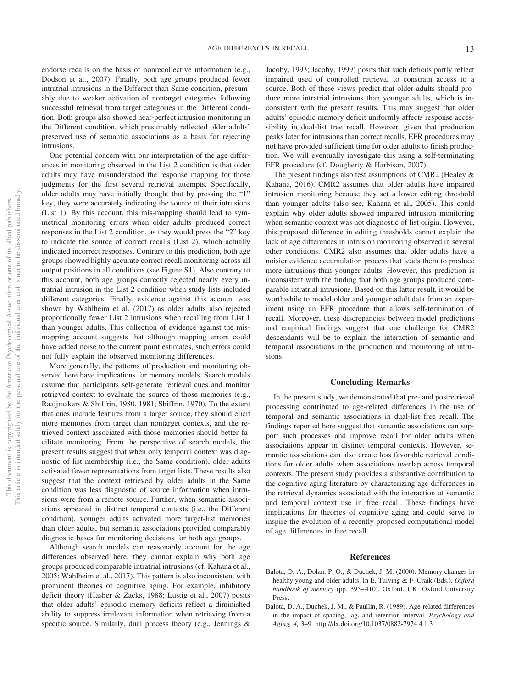endorse recalls on the basis of nonrecollective information (e.g., Dodson et al., 2007). Finally, both age groups produced fewer intratrial intrusions in the Different than Same condition, presumably due to weaker activation of nontarget categories following successful retrieval from target categories in the Different condition. Both groups also showed near-perfect intrusion monitoring in the Different condition, which presumably reflected older adults' preserved use of semantic associations as a basis for rejecting intrusions.

One potential concern with our interpretation of the age differences in monitoring observed in the List 2 condition is that older adults may have misunderstood the response mapping for those judgments for the first several retrieval attempts. Specifically, older adults may have initially thought that by pressing the "1" key, they were accurately indicating the source of their intrusions (List 1). By this account, this mis-mapping should lead to symmetrical monitoring errors when older adults produced correct responses in the List 2 condition, as they would press the "2" key to indicate the source of correct recalls (List 2), which actually indicated incorrect responses. Contrary to this prediction, both age groups showed highly accurate correct recall monitoring across all output positions in all conditions (see Figure S1). Also contrary to this account, both age groups correctly rejected nearly every intratrial intrusion in the List 2 condition when study lists included different categories. Finally, evidence against this account was shown by Wahlheim et al. (2017) as older adults also rejected proportionally fewer List 2 intrusions when recalling from List 1 than younger adults. This collection of evidence against the mismapping account suggests that although mapping errors could have added noise to the current point estimates, such errors could not fully explain the observed monitoring differences.

More generally, the patterns of production and monitoring observed here have implications for memory models. Search models assume that participants self-generate retrieval cues and monitor retrieved context to evaluate the source of those memories (e.g., Raaijmakers & Shiffrin, 1980, 1981; Shiffrin, 1970). To the extent that cues include features from a target source, they should elicit more memories from target than nontarget contexts, and the retrieved context associated with those memories should better facilitate monitoring. From the perspective of search models, the present results suggest that when only temporal context was diagnostic of list membership (i.e., the Same condition), older adults activated fewer representations from target lists. These results also suggest that the context retrieved by older adults in the Same condition was less diagnostic of source information when intrusions were from a remote source. Further, when semantic associations appeared in distinct temporal contexts (i.e., the Different condition), younger adults activated more target-list memories than older adults, but semantic associations provided comparably diagnostic bases for monitoring decisions for both age groups.

Although search models can reasonably account for the age differences observed here, they cannot explain why both age groups produced comparable intratrial intrusions (cf. Kahana et al., 2005; Wahlheim et al., 2017). This pattern is also inconsistent with prominent theories of cognitive aging. For example, inhibitory deficit theory (Hasher & Zacks, 1988; Lustig et al., 2007) posits that older adults' episodic memory deficits reflect a diminished ability to suppress irrelevant information when retrieving from a specific source. Similarly, dual process theory (e.g., Jennings &

Jacoby, 1993; Jacoby, 1999) posits that such deficits partly reflect impaired used of controlled retrieval to constrain access to a source. Both of these views predict that older adults should produce more intratrial intrusions than younger adults, which is inconsistent with the present results. This may suggest that older adults' episodic memory deficit uniformly affects response accessibility in dual-list free recall. However, given that production peaks later for intrusions than correct recalls, EFR procedures may not have provided sufficient time for older adults to finish production. We will eventually investigate this using a self-terminating EFR procedure (cf. Dougherty & Harbison, 2007).

The present findings also test assumptions of CMR2 (Healey & Kahana, 2016). CMR2 assumes that older adults have impaired intrusion monitoring because they set a lower editing threshold than younger adults (also see, Kahana et al., 2005). This could explain why older adults showed impaired intrusion monitoring when semantic context was not diagnostic of list origin. However, this proposed difference in editing thresholds cannot explain the lack of age differences in intrusion monitoring observed in several other conditions. CMR2 also assumes that older adults have a noisier evidence accumulation process that leads them to produce more intrusions than younger adults. However, this prediction is inconsistent with the finding that both age groups produced comparable intratrial intrusions. Based on this latter result, it would be worthwhile to model older and younger adult data from an experiment using an EFR procedure that allows self-termination of recall. Moreover, these discrepancies between model predictions and empirical findings suggest that one challenge for CMR2 descendants will be to explain the interaction of semantic and temporal associations in the production and monitoring of intrusions.

#### **Concluding Remarks**

In the present study, we demonstrated that pre- and postretrieval processing contributed to age-related differences in the use of temporal and semantic associations in dual-list free recall. The findings reported here suggest that semantic associations can support such processes and improve recall for older adults when associations appear in distinct temporal contexts. However, semantic associations can also create less favorable retrieval conditions for older adults when associations overlap across temporal contexts. The present study provides a substantive contribution to the cognitive aging literature by characterizing age differences in the retrieval dynamics associated with the interaction of semantic and temporal context use in free recall. These findings have implications for theories of cognitive aging and could serve to inspire the evolution of a recently proposed computational model of age differences in free recall.

#### **References**

- Balota, D. A., Dolan, P. O., & Duchek, J. M. (2000). Memory changes in healthy young and older adults. In E. Tulving & F. Craik (Eds.), *Oxford* handbook of memory (pp. 395–410). Oxford, UK: Oxford University Press.
- Balota, D. A., Duchek, J. M., & Paullin, R. (1989). Age-related differences in the impact of spacing, lag, and retention interval. *Psychology and Aging, 4,* 3–9.<http://dx.doi.org/10.1037/0882-7974.4.1.3>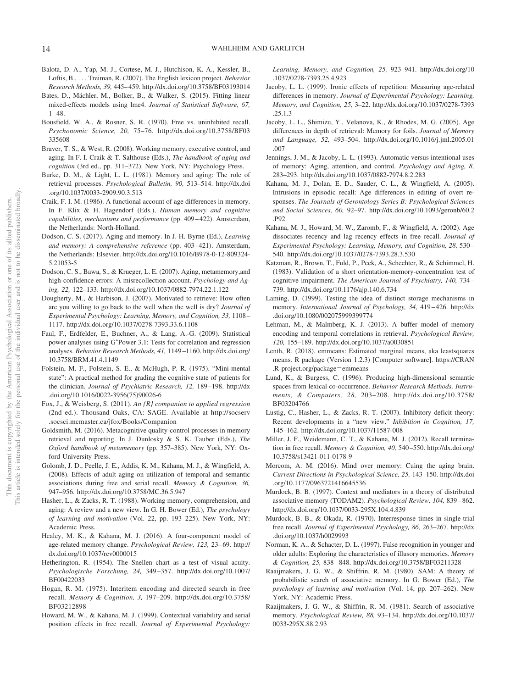- Balota, D. A., Yap, M. J., Cortese, M. J., Hutchison, K. A., Kessler, B., Loftis, B.,... Treiman, R. (2007). The English lexicon project. *Behavior Research Methods, 39,* 445– 459.<http://dx.doi.org/10.3758/BF03193014>
- Bates, D., Mächler, M., Bolker, B., & Walker, S. (2015). Fitting linear mixed-effects models using lme4. *Journal of Statistical Software, 67,*  $1 - 48.$
- Bousfield, W. A., & Rosner, S. R. (1970). Free vs. uninhibited recall. *Psychonomic Science, 20,* 75–76. [http://dx.doi.org/10.3758/BF03](http://dx.doi.org/10.3758/BF03335608) [335608](http://dx.doi.org/10.3758/BF03335608)
- Braver, T. S., & West, R. (2008). Working memory, executive control, and aging. In F. I. Craik & T. Salthouse (Eds.), *The handbook of aging and cognition* (3rd ed., pp. 311–372). New York, NY: Psychology Press.
- Burke, D. M., & Light, L. L. (1981). Memory and aging: The role of retrieval processes. *Psychological Bulletin, 90,* 513–514. [http://dx.doi](http://dx.doi.org/10.1037/0033-2909.90.3.513) [.org/10.1037/0033-2909.90.3.513](http://dx.doi.org/10.1037/0033-2909.90.3.513)
- Craik, F. I. M. (1986). A functional account of age differences in memory. In F. Klix & H. Hagendorf (Eds.), *Human memory and cognitive capabilities, mechanisms and performance* (pp. 409 – 422). Amsterdam, the Netherlands: North-Holland.
- Dodson, C. S. (2017). Aging and memory. In J. H. Byrne (Ed.), *Learning* and memory: A comprehensive reference (pp. 403–421). Amsterdam, the Netherlands: Elsevier. [http://dx.doi.org/10.1016/B978-0-12-809324-](http://dx.doi.org/10.1016/B978-0-12-809324-5.21053-5) [5.21053-5](http://dx.doi.org/10.1016/B978-0-12-809324-5.21053-5)
- Dodson, C. S., Bawa, S., & Krueger, L. E. (2007). Aging, metamemory,and high-confidence errors: A misrecollection account. *Psychology and Aging, 22,* 122–133.<http://dx.doi.org/10.1037/0882-7974.22.1.122>
- Dougherty, M., & Harbison, J. (2007). Motivated to retrieve: How often are you willing to go back to the well when the well is dry? *Journal of Experimental Psychology: Learning, Memory, and Cognition, 33,* 1108 – 1117.<http://dx.doi.org/10.1037/0278-7393.33.6.1108>
- <span id="page-14-0"></span>Faul, F., Erdfelder, E., Buchner, A., & Lang, A.-G. (2009). Statistical power analyses using G\*Power 3.1: Tests for correlation and regression analyses. *Behavior Research Methods, 41,* 1149 –1160. [http://dx.doi.org/](http://dx.doi.org/10.3758/BRM.41.4.1149) [10.3758/BRM.41.4.1149](http://dx.doi.org/10.3758/BRM.41.4.1149)
- Folstein, M. F., Folstein, S. E., & McHugh, P. R. (1975). "Mini-mental state": A practical method for grading the cognitive state of patients for the clinician. *Journal of Psychiatric Research, 12,* 189 –198. [http://dx](http://dx.doi.org/10.1016/0022-3956%2875%2990026-6) [.doi.org/10.1016/0022-3956\(75\)90026-6](http://dx.doi.org/10.1016/0022-3956%2875%2990026-6)
- Fox, J., & Weisberg, S. (2011). *An {R} companion to applied regression* (2nd ed.). Thousand Oaks, CA: SAGE. Available at [http://socserv](http://socserv.socsci.mcmaster.ca/jfox/Books/Companion) [.socsci.mcmaster.ca/jfox/Books/Companion](http://socserv.socsci.mcmaster.ca/jfox/Books/Companion)
- Goldsmith, M. (2016). Metacognitive quality-control processes in memory retrieval and reporting. In J. Dunlosky & S. K. Tauber (Eds.), *The Oxford handbook of metamemory* (pp. 357–385). New York, NY: Oxford University Press.
- Golomb, J. D., Peelle, J. E., Addis, K. M., Kahana, M. J., & Wingfield, A. (2008). Effects of adult aging on utilization of temporal and semantic associations during free and serial recall. *Memory & Cognition, 36,* 947–956.<http://dx.doi.org/10.3758/MC.36.5.947>
- Hasher, L., & Zacks, R. T. (1988). Working memory, comprehension, and aging: A review and a new view. In G. H. Bower (Ed.), *The psychology of learning and motivation* (Vol. 22, pp. 193–225). New York, NY: Academic Press.
- Healey, M. K., & Kahana, M. J. (2016). A four-component model of age-related memory change. *Psychological Review, 123,* 23– 69. [http://](http://dx.doi.org/10.1037/rev0000015) [dx.doi.org/10.1037/rev0000015](http://dx.doi.org/10.1037/rev0000015)
- Hetherington, R. (1954). The Snellen chart as a test of visual acuity. *Psychologische Forschung, 24,* 349 –357. [http://dx.doi.org/10.1007/](http://dx.doi.org/10.1007/BF00422033) [BF00422033](http://dx.doi.org/10.1007/BF00422033)
- Hogan, R. M. (1975). Interitem encoding and directed search in free recall. *Memory & Cognition, 3,* 197–209. [http://dx.doi.org/10.3758/](http://dx.doi.org/10.3758/BF03212898) [BF03212898](http://dx.doi.org/10.3758/BF03212898)
- Howard, M. W., & Kahana, M. J. (1999). Contextual variability and serial position effects in free recall. *Journal of Experimental Psychology:*

*Learning, Memory, and Cognition, 25,* 923–941. [http://dx.doi.org/10](http://dx.doi.org/10.1037/0278-7393.25.4.923) [.1037/0278-7393.25.4.923](http://dx.doi.org/10.1037/0278-7393.25.4.923)

- Jacoby, L. L. (1999). Ironic effects of repetition: Measuring age-related differences in memory. *Journal of Experimental Psychology: Learning, Memory, and Cognition, 25,* 3–22. [http://dx.doi.org/10.1037/0278-7393](http://dx.doi.org/10.1037/0278-7393.25.1.3) [.25.1.3](http://dx.doi.org/10.1037/0278-7393.25.1.3)
- Jacoby, L. L., Shimizu, Y., Velanova, K., & Rhodes, M. G. (2005). Age differences in depth of retrieval: Memory for foils. *Journal of Memory and Language, 52,* 493–504. [http://dx.doi.org/10.1016/j.jml.2005.01](http://dx.doi.org/10.1016/j.jml.2005.01.007) [.007](http://dx.doi.org/10.1016/j.jml.2005.01.007)
- Jennings, J. M., & Jacoby, L. L. (1993). Automatic versus intentional uses of memory: Aging, attention, and control. *Psychology and Aging, 8,* 283–293.<http://dx.doi.org/10.1037/0882-7974.8.2.283>
- Kahana, M. J., Dolan, E. D., Sauder, C. L., & Wingfield, A. (2005). Intrusions in episodic recall: Age differences in editing of overt responses. *The Journals of Gerontology Series B: Psychological Sciences and Social Sciences, 60,* 92–97. [http://dx.doi.org/10.1093/geronb/60.2](http://dx.doi.org/10.1093/geronb/60.2.P92) [.P92](http://dx.doi.org/10.1093/geronb/60.2.P92)
- Kahana, M. J., Howard, M. W., Zaromb, F., & Wingfield, A. (2002). Age dissociates recency and lag recency effects in free recall. *Journal of Experimental Psychology: Learning, Memory, and Cognition, 28,* 530 – 540.<http://dx.doi.org/10.1037/0278-7393.28.3.530>
- Katzman, R., Brown, T., Fuld, P., Peck, A., Schechter, R., & Schimmel, H. (1983). Validation of a short orientation-memory-concentration test of cognitive impairment. *The American Journal of Psychiatry, 140,* 734 – 739.<http://dx.doi.org/10.1176/ajp.140.6.734>
- Laming, D. (1999). Testing the idea of distinct storage mechanisms in memory. *International Journal of Psychology, 34,* 419 – 426. [http://dx](http://dx.doi.org/10.1080/002075999399774) [.doi.org/10.1080/002075999399774](http://dx.doi.org/10.1080/002075999399774)
- Lehman, M., & Malmberg, K. J. (2013). A buffer model of memory encoding and temporal correlations in retrieval. *Psychological Review, 120,* 155–189.<http://dx.doi.org/10.1037/a0030851>
- Lenth, R. (2018). emmeans: Estimated marginal means, aka leastsquares means. R package (Version 1.2.3) [Computer software]. [https://CRAN](https://CRAN.R-project.org/package=emmeans) [.R-project.org/package](https://CRAN.R-project.org/package=emmeans)=emmeans
- Lund, K., & Burgess, C. (1996). Producing high-dimensional semantic spaces from lexical co-occurrence. *Behavior Research Methods, Instruments, & Computers, 28,* 203–208. [http://dx.doi.org/10.3758/](http://dx.doi.org/10.3758/BF03204766) [BF03204766](http://dx.doi.org/10.3758/BF03204766)
- Lustig, C., Hasher, L., & Zacks, R. T. (2007). Inhibitory deficit theory: Recent developments in a "new view." *Inhibition in Cognition, 17,* 145–162.<http://dx.doi.org/10.1037/11587-008>
- Miller, J. F., Weidemann, C. T., & Kahana, M. J. (2012). Recall termination in free recall. *Memory & Cognition, 40,* 540 –550. [http://dx.doi.org/](http://dx.doi.org/10.3758/s13421-011-0178-9) [10.3758/s13421-011-0178-9](http://dx.doi.org/10.3758/s13421-011-0178-9)
- Morcom, A. M. (2016). Mind over memory: Cuing the aging brain. *Current Directions in Psychological Science, 25,* 143–150. [http://dx.doi](http://dx.doi.org/10.1177/0963721416645536) [.org/10.1177/0963721416645536](http://dx.doi.org/10.1177/0963721416645536)
- Murdock, B. B. (1997). Context and mediators in a theory of distributed associative memory (TODAM2). *Psychological Review, 104,* 839 – 862. <http://dx.doi.org/10.1037/0033-295X.104.4.839>
- Murdock, B. B., & Okada, R. (1970). Interresponse times in single-trial free recall. *Journal of Experimental Psychology, 86,* 263–267. [http://dx](http://dx.doi.org/10.1037/h0029993) [.doi.org/10.1037/h0029993](http://dx.doi.org/10.1037/h0029993)
- Norman, K. A., & Schacter, D. L. (1997). False recognition in younger and older adults: Exploring the characteristics of illusory memories. *Memory & Cognition, 25,* 838 – 848.<http://dx.doi.org/10.3758/BF03211328>
- Raaijmakers, J. G. W., & Shiffrin, R. M. (1980). SAM: A theory of probabilistic search of associative memory. In G. Bower (Ed.), *The psychology of learning and motivation* (Vol. 14, pp. 207–262). New York, NY: Academic Press.
- Raaijmakers, J. G. W., & Shiffrin, R. M. (1981). Search of associative memory. *Psychological Review, 88,* 93–134. [http://dx.doi.org/10.1037/](http://dx.doi.org/10.1037/0033-295X.88.2.93) [0033-295X.88.2.93](http://dx.doi.org/10.1037/0033-295X.88.2.93)